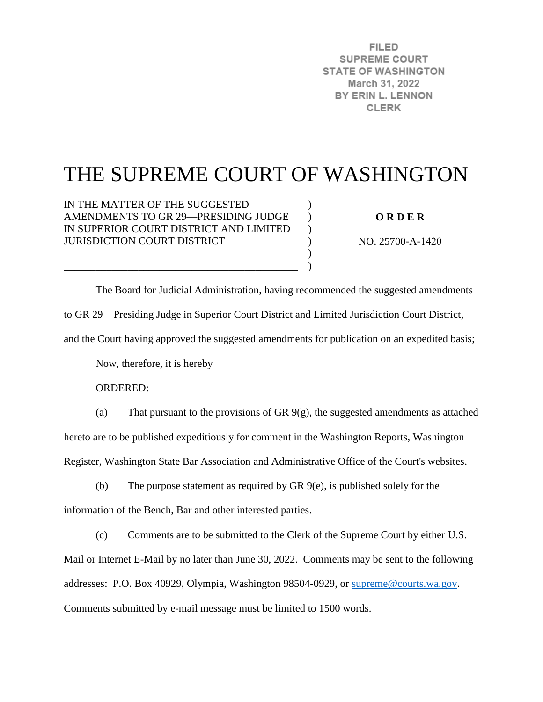**FILED SUPREME COURT STATE OF WASHINGTON** March 31, 2022 BY ERIN L. LENNON **CLERK** 

# THE SUPREME COURT OF WASHINGTON

)  $\lambda$  $\mathcal{L}$  $\mathcal{L}$ ) )

IN THE MATTER OF THE SUGGESTED AMENDMENTS TO GR 29—PRESIDING JUDGE IN SUPERIOR COURT DISTRICT AND LIMITED JURISDICTION COURT DISTRICT

\_\_\_\_\_\_\_\_\_\_\_\_\_\_\_\_\_\_\_\_\_\_\_\_\_\_\_\_\_\_\_\_\_\_\_\_\_\_\_\_\_\_\_\_

**O R D E R** 

NO. 25700-A-1420

The Board for Judicial Administration, having recommended the suggested amendments to GR 29—Presiding Judge in Superior Court District and Limited Jurisdiction Court District, and the Court having approved the suggested amendments for publication on an expedited basis;

Now, therefore, it is hereby

ORDERED:

(a) That pursuant to the provisions of GR 9(g), the suggested amendments as attached hereto are to be published expeditiously for comment in the Washington Reports, Washington Register, Washington State Bar Association and Administrative Office of the Court's websites.

(b) The purpose statement as required by GR 9(e), is published solely for the information of the Bench, Bar and other interested parties.

(c) Comments are to be submitted to the Clerk of the Supreme Court by either U.S. Mail or Internet E-Mail by no later than June 30, 2022. Comments may be sent to the following addresses: P.O. Box 40929, Olympia, Washington 98504-0929, or [supreme@courts.wa.gov.](mailto:supreme@courts.wa.gov) Comments submitted by e-mail message must be limited to 1500 words.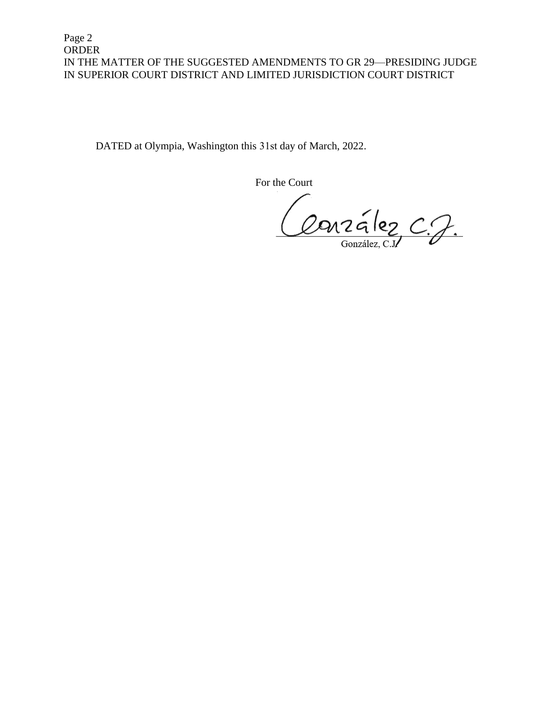Page 2 ORDER IN THE MATTER OF THE SUGGESTED AMENDMENTS TO GR 29—PRESIDING JUDGE IN SUPERIOR COURT DISTRICT AND LIMITED JURISDICTION COURT DISTRICT

DATED at Olympia, Washington this 31st day of March, 2022.

For the Court

Conzález C.J.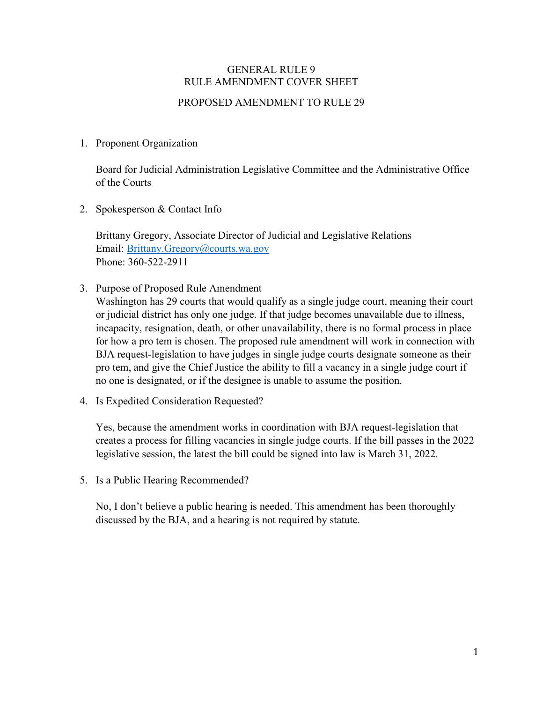## GENERAL RULE 9 RULE AMENDMENT COVER SHEET

### PROPOSED AMENDMENT TO RULE 29

#### 1. Proponent Organization

Board for Judicial Administration Legislative Committee and the Administrative Office of the Courts

2. Spokesperson & Contact Info

Brittany Gregory, Associate Director of Judicial and Legislative Relations Email: [Brittany.Gregory@courts.wa.gov](mailto:Brittany.Gregory@courts.wa.gov) Phone: 360-522-2911

3. Purpose of Proposed Rule Amendment

Washington has 29 courts that would qualify as a single judge court, meaning their court or judicial district has only one judge. If that judge becomes unavailable due to illness, incapacity, resignation, death, or other unavailability, there is no formal process in place for how a pro tem is chosen. The proposed rule amendment will work in connection with BJA request-legislation to have judges in single judge courts designate someone as their pro tem, and give the Chief Justice the ability to fill a vacancy in a single judge court if no one is designated, or if the designee is unable to assume the position.

4. Is Expedited Consideration Requested?

Yes, because the amendment works in coordination with BJA request-legislation that creates a process for filling vacancies in single judge courts. If the bill passes in the 2022 legislative session, the latest the bill could be signed into law is March 31, 2022.

5. Is a Public Hearing Recommended?

No, I don't believe a public hearing is needed. This amendment has been thoroughly discussed by the BJA, and a hearing is not required by statute.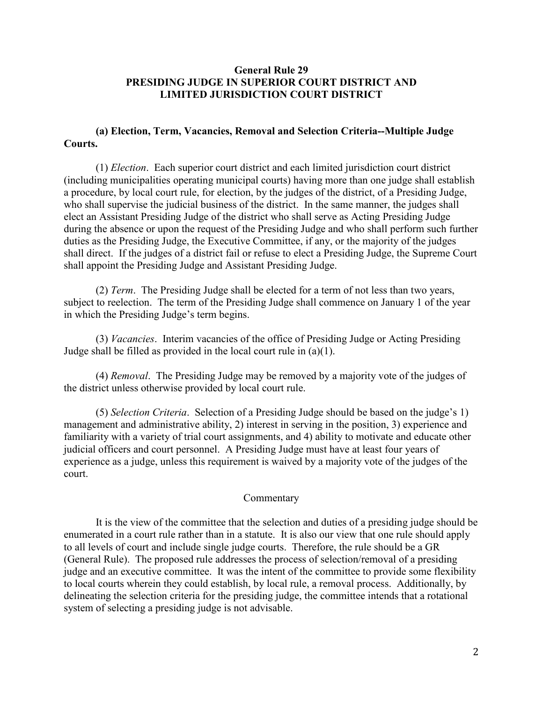#### **General Rule 29 PRESIDING JUDGE IN SUPERIOR COURT DISTRICT AND LIMITED JURISDICTION COURT DISTRICT**

#### **(a) Election, Term, Vacancies, Removal and Selection Criteria--Multiple Judge Courts.**

(1) *Election*. Each superior court district and each limited jurisdiction court district (including municipalities operating municipal courts) having more than one judge shall establish a procedure, by local court rule, for election, by the judges of the district, of a Presiding Judge, who shall supervise the judicial business of the district. In the same manner, the judges shall elect an Assistant Presiding Judge of the district who shall serve as Acting Presiding Judge during the absence or upon the request of the Presiding Judge and who shall perform such further duties as the Presiding Judge, the Executive Committee, if any, or the majority of the judges shall direct. If the judges of a district fail or refuse to elect a Presiding Judge, the Supreme Court shall appoint the Presiding Judge and Assistant Presiding Judge.

(2) *Term*. The Presiding Judge shall be elected for a term of not less than two years, subject to reelection. The term of the Presiding Judge shall commence on January 1 of the year in which the Presiding Judge's term begins.

(3) *Vacancies*. Interim vacancies of the office of Presiding Judge or Acting Presiding Judge shall be filled as provided in the local court rule in (a)(1).

(4) *Removal*. The Presiding Judge may be removed by a majority vote of the judges of the district unless otherwise provided by local court rule.

(5) *Selection Criteria*. Selection of a Presiding Judge should be based on the judge's 1) management and administrative ability, 2) interest in serving in the position, 3) experience and familiarity with a variety of trial court assignments, and 4) ability to motivate and educate other judicial officers and court personnel. A Presiding Judge must have at least four years of experience as a judge, unless this requirement is waived by a majority vote of the judges of the court.

#### Commentary

It is the view of the committee that the selection and duties of a presiding judge should be enumerated in a court rule rather than in a statute. It is also our view that one rule should apply to all levels of court and include single judge courts. Therefore, the rule should be a GR (General Rule). The proposed rule addresses the process of selection/removal of a presiding judge and an executive committee. It was the intent of the committee to provide some flexibility to local courts wherein they could establish, by local rule, a removal process. Additionally, by delineating the selection criteria for the presiding judge, the committee intends that a rotational system of selecting a presiding judge is not advisable.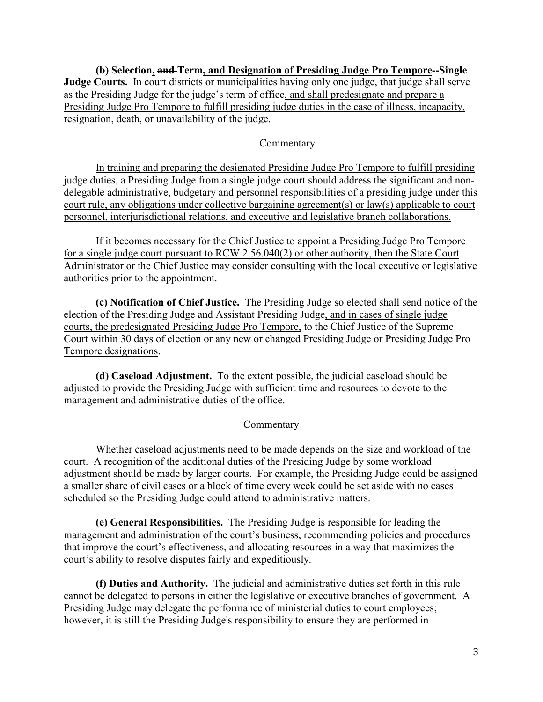**(b) Selection, and Term, and Designation of Presiding Judge Pro Tempore--Single Judge Courts.** In court districts or municipalities having only one judge, that judge shall serve as the Presiding Judge for the judge's term of office, and shall predesignate and prepare a Presiding Judge Pro Tempore to fulfill presiding judge duties in the case of illness, incapacity, resignation, death, or unavailability of the judge.

#### Commentary

In training and preparing the designated Presiding Judge Pro Tempore to fulfill presiding judge duties, a Presiding Judge from a single judge court should address the significant and nondelegable administrative, budgetary and personnel responsibilities of a presiding judge under this court rule, any obligations under collective bargaining agreement(s) or law(s) applicable to court personnel, interjurisdictional relations, and executive and legislative branch collaborations.

If it becomes necessary for the Chief Justice to appoint a Presiding Judge Pro Tempore for a single judge court pursuant to RCW 2.56.040(2) or other authority, then the State Court Administrator or the Chief Justice may consider consulting with the local executive or legislative authorities prior to the appointment.

**(c) Notification of Chief Justice.** The Presiding Judge so elected shall send notice of the election of the Presiding Judge and Assistant Presiding Judge, and in cases of single judge courts, the predesignated Presiding Judge Pro Tempore, to the Chief Justice of the Supreme Court within 30 days of election or any new or changed Presiding Judge or Presiding Judge Pro Tempore designations.

**(d) Caseload Adjustment.** To the extent possible, the judicial caseload should be adjusted to provide the Presiding Judge with sufficient time and resources to devote to the management and administrative duties of the office.

#### Commentary

Whether caseload adjustments need to be made depends on the size and workload of the court. A recognition of the additional duties of the Presiding Judge by some workload adjustment should be made by larger courts. For example, the Presiding Judge could be assigned a smaller share of civil cases or a block of time every week could be set aside with no cases scheduled so the Presiding Judge could attend to administrative matters.

**(e) General Responsibilities.** The Presiding Judge is responsible for leading the management and administration of the court's business, recommending policies and procedures that improve the court's effectiveness, and allocating resources in a way that maximizes the court's ability to resolve disputes fairly and expeditiously.

**(f) Duties and Authority.** The judicial and administrative duties set forth in this rule cannot be delegated to persons in either the legislative or executive branches of government. A Presiding Judge may delegate the performance of ministerial duties to court employees; however, it is still the Presiding Judge's responsibility to ensure they are performed in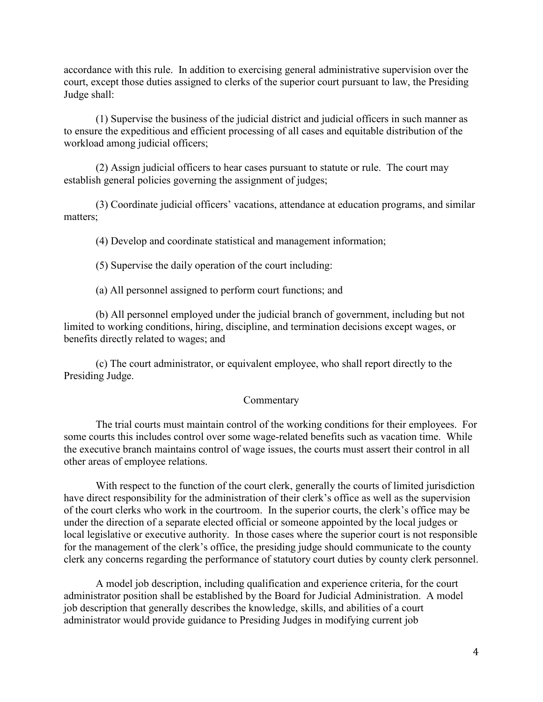accordance with this rule. In addition to exercising general administrative supervision over the court, except those duties assigned to clerks of the superior court pursuant to law, the Presiding Judge shall:

(1) Supervise the business of the judicial district and judicial officers in such manner as to ensure the expeditious and efficient processing of all cases and equitable distribution of the workload among judicial officers;

(2) Assign judicial officers to hear cases pursuant to statute or rule. The court may establish general policies governing the assignment of judges;

(3) Coordinate judicial officers' vacations, attendance at education programs, and similar matters;

(4) Develop and coordinate statistical and management information;

(5) Supervise the daily operation of the court including:

(a) All personnel assigned to perform court functions; and

(b) All personnel employed under the judicial branch of government, including but not limited to working conditions, hiring, discipline, and termination decisions except wages, or benefits directly related to wages; and

(c) The court administrator, or equivalent employee, who shall report directly to the Presiding Judge.

#### Commentary

The trial courts must maintain control of the working conditions for their employees. For some courts this includes control over some wage-related benefits such as vacation time. While the executive branch maintains control of wage issues, the courts must assert their control in all other areas of employee relations.

With respect to the function of the court clerk, generally the courts of limited jurisdiction have direct responsibility for the administration of their clerk's office as well as the supervision of the court clerks who work in the courtroom. In the superior courts, the clerk's office may be under the direction of a separate elected official or someone appointed by the local judges or local legislative or executive authority. In those cases where the superior court is not responsible for the management of the clerk's office, the presiding judge should communicate to the county clerk any concerns regarding the performance of statutory court duties by county clerk personnel.

A model job description, including qualification and experience criteria, for the court administrator position shall be established by the Board for Judicial Administration. A model job description that generally describes the knowledge, skills, and abilities of a court administrator would provide guidance to Presiding Judges in modifying current job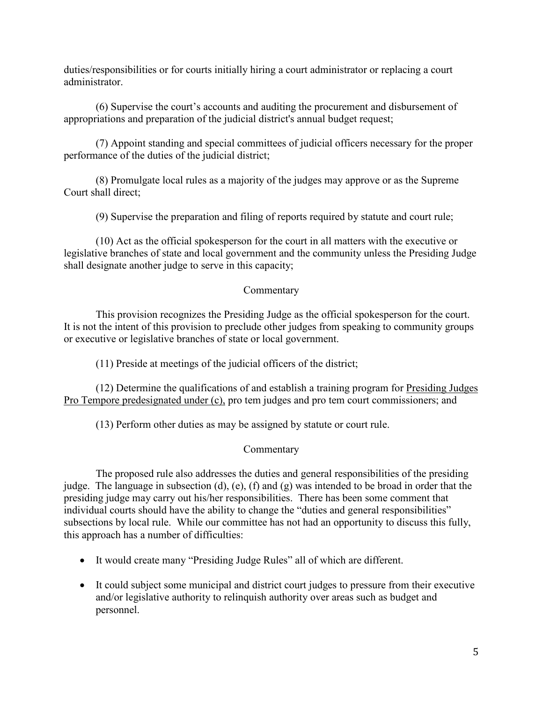duties/responsibilities or for courts initially hiring a court administrator or replacing a court administrator.

(6) Supervise the court's accounts and auditing the procurement and disbursement of appropriations and preparation of the judicial district's annual budget request;

(7) Appoint standing and special committees of judicial officers necessary for the proper performance of the duties of the judicial district;

(8) Promulgate local rules as a majority of the judges may approve or as the Supreme Court shall direct;

(9) Supervise the preparation and filing of reports required by statute and court rule;

(10) Act as the official spokesperson for the court in all matters with the executive or legislative branches of state and local government and the community unless the Presiding Judge shall designate another judge to serve in this capacity;

#### Commentary

This provision recognizes the Presiding Judge as the official spokesperson for the court. It is not the intent of this provision to preclude other judges from speaking to community groups or executive or legislative branches of state or local government.

(11) Preside at meetings of the judicial officers of the district;

(12) Determine the qualifications of and establish a training program for Presiding Judges Pro Tempore predesignated under (c), pro tem judges and pro tem court commissioners; and

(13) Perform other duties as may be assigned by statute or court rule.

#### Commentary

The proposed rule also addresses the duties and general responsibilities of the presiding judge. The language in subsection (d), (e), (f) and (g) was intended to be broad in order that the presiding judge may carry out his/her responsibilities. There has been some comment that individual courts should have the ability to change the "duties and general responsibilities" subsections by local rule. While our committee has not had an opportunity to discuss this fully, this approach has a number of difficulties:

- It would create many "Presiding Judge Rules" all of which are different.
- It could subject some municipal and district court judges to pressure from their executive and/or legislative authority to relinquish authority over areas such as budget and personnel.